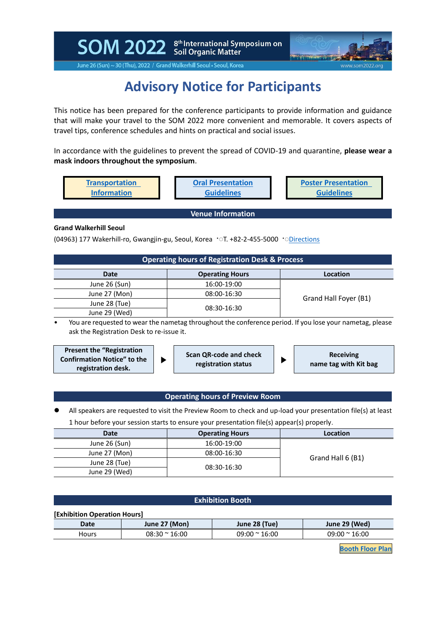SOM 2022 Stil Organic Matter<br>Soil Organic Matter



June 26 (Sun) ~ 30 (Thu), 2022 / Grand Walkerhill Seoul • Seoul, Korea

# **Advisory Notice for Participants**

This notice has been prepared for the conference participants to provide information and guidance that will make your travel to the SOM 2022 more convenient and memorable. It covers aspects of travel tips, conference schedules and hints on practical and social issues.

In accordance with the guidelines to prevent the spread of COVID-19 and quarantine, **please wear a mask indoors throughout the symposium**.

| Transportation     | <b>Oral Presentation</b> | <b>Poster Presentation</b> |
|--------------------|--------------------------|----------------------------|
| <b>Information</b> | Guidelines               | <b>Guidelines</b>          |

**Venue Information**

### **Grand Walkerhill Seoul**

(04963) 177 Wakerhill-ro, Gwangjin-gu, Seoul, Korea ·ा. +82-2-455-5000 ·o[Directions](http://www.walkerhill.com/grandwalkerhillseoul/en/Map)

| <b>Operating hours of Registration Desk &amp; Process</b> |  |  |
|-----------------------------------------------------------|--|--|
|-----------------------------------------------------------|--|--|

| <b>Date</b>   | <b>Operating Hours</b> | Location              |  |
|---------------|------------------------|-----------------------|--|
| June 26 (Sun) | 16:00-19:00            |                       |  |
| June 27 (Mon) | 08:00-16:30            |                       |  |
| June 28 (Tue) | 08:30-16:30            | Grand Hall Foyer (B1) |  |
| June 29 (Wed) |                        |                       |  |

• You are requested to wear the nametag throughout the conference period. If you lose your nametag, please ask the Registration Desk to re-issue it.



## **Operating hours of Preview Room**

⚫ All speakers are requested to visit the Preview Room to check and up-load your presentation file(s) at least 1 hour before your session starts to ensure your presentation file(s) appear(s) properly.

| <b>Date</b>   | <b>Operating Hours</b> | Location          |  |
|---------------|------------------------|-------------------|--|
| June 26 (Sun) | 16:00-19:00            |                   |  |
| June 27 (Mon) | 08:00-16:30            |                   |  |
| June 28 (Tue) |                        | Grand Hall 6 (B1) |  |
| June 29 (Wed) | 08:30-16:30            |                   |  |

| <b>Exhibition Booth</b>      |                       |                       |                       |  |  |
|------------------------------|-----------------------|-----------------------|-----------------------|--|--|
| [Exhibition Operation Hours] |                       |                       |                       |  |  |
| <b>Date</b>                  | June 27 (Mon)         | June 28 (Tue)         | June 29 (Wed)         |  |  |
| <b>Hours</b>                 | $08:30 \approx 16:00$ | $09:00 \approx 16:00$ | $09:00 \approx 16:00$ |  |  |
|                              |                       |                       |                       |  |  |

**[Booth](https://www.som2022.org/booth-floor-plan) Floor Plan**